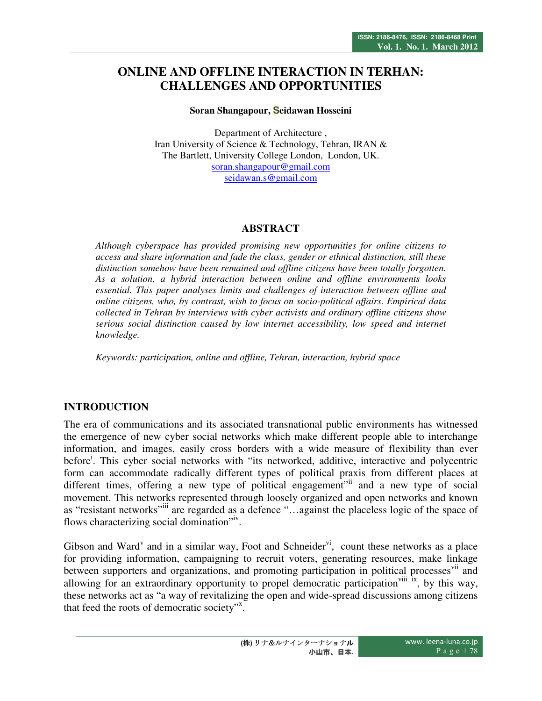# **ONLINE AND OFFLINE INTERACTION IN TERHAN: CHALLENGES AND OPPORTUNITIES**

### **Soran Shangapour, Seidawan Hosseini**

Department of Architecture , Iran University of Science & Technology, Tehran, IRAN & The Bartlett, University College London, London, UK. soran.shangapour@gmail.com seidawan.s@gmail.com

## **ABSTRACT**

*Although cyberspace has provided promising new opportunities for online citizens to access and share information and fade the class, gender or ethnical distinction, still these distinction somehow have been remained and offline citizens have been totally forgotten. As a solution, a hybrid interaction between online and offline environments looks essential. This paper analyses limits and challenges of interaction between offline and online citizens, who, by contrast, wish to focus on socio-political affairs. Empirical data collected in Tehran by interviews with cyber activists and ordinary offline citizens show serious social distinction caused by low internet accessibility, low speed and internet knowledge.* 

*Keywords: participation, online and offline, Tehran, interaction, hybrid space* 

# **INTRODUCTION**

The era of communications and its associated transnational public environments has witnessed the emergence of new cyber social networks which make different people able to interchange information, and images, easily cross borders with a wide measure of flexibility than ever before<sup>i</sup>. This cyber social networks with "its networked, additive, interactive and polycentric form can accommodate radically different types of political praxis from different places at different times, offering a new type of political engagement<sup>"ii</sup> and a new type of social movement. This networks represented through loosely organized and open networks and known as "resistant networks"<sup>iii</sup> are regarded as a defence "...against the placeless logic of the space of flows characterizing social domination"<sup>iv</sup>.

Gibson and Ward<sup>v</sup> and in a similar way, Foot and Schneider<sup>vi</sup>, count these networks as a place for providing information, campaigning to recruit voters, generating resources, make linkage between supporters and organizations, and promoting participation in political processes<sup>vii</sup> and allowing for an extraordinary opportunity to propel democratic participation<sup>viii</sup> <sup>ix</sup>, by this way, these networks act as "a way of revitalizing the open and wide-spread discussions among citizens that feed the roots of democratic society".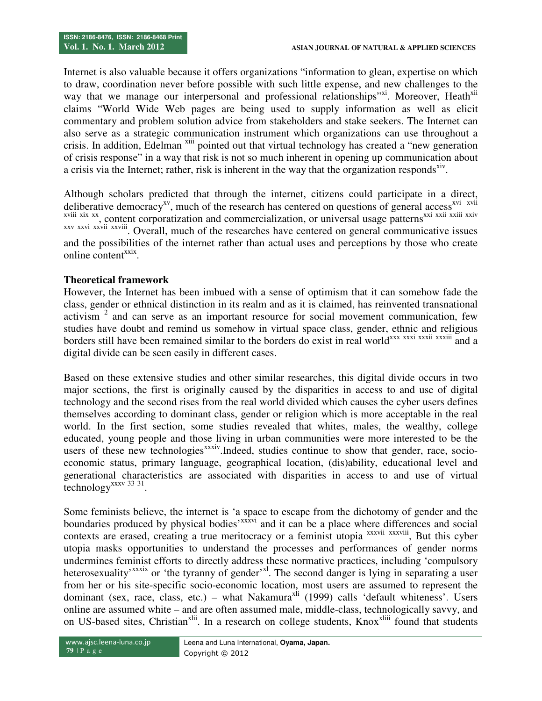Internet is also valuable because it offers organizations "information to glean, expertise on which to draw, coordination never before possible with such little expense, and new challenges to the way that we manage our interpersonal and professional relationships"x<sup>1</sup>. Moreover, Heath<sup>x11</sup> claims "World Wide Web pages are being used to supply information as well as elicit commentary and problem solution advice from stakeholders and stake seekers. The Internet can also serve as a strategic communication instrument which organizations can use throughout a crisis. In addition, Edelman <sup>xiii</sup> pointed out that virtual technology has created a "new generation" of crisis response" in a way that risk is not so much inherent in opening up communication about a crisis via the Internet; rather, risk is inherent in the way that the organization responds<sup>xiv</sup>.

Although scholars predicted that through the internet, citizens could participate in a direct, deliberative democracy<sup>xv</sup>, much of the research has centered on questions of general access<sup>xvi</sup> xvii xviii xix xx, content corporatization and commercialization, or universal usage patterns<sup>xxi xxii xxiii xxiv</sup> xxv xxvi xxvii xxviii. Overall, much of the researches have centered on general communicative issues and the possibilities of the internet rather than actual uses and perceptions by those who create online content<sup>xxix</sup>.

## **Theoretical framework**

However, the Internet has been imbued with a sense of optimism that it can somehow fade the class, gender or ethnical distinction in its realm and as it is claimed, has reinvented transnational activism  $2$  and can serve as an important resource for social movement communication, few studies have doubt and remind us somehow in virtual space class, gender, ethnic and religious borders still have been remained similar to the borders do exist in real world<sup>xxx</sup> xxxi xxxii xxxii and a digital divide can be seen easily in different cases.

Based on these extensive studies and other similar researches, this digital divide occurs in two major sections, the first is originally caused by the disparities in access to and use of digital technology and the second rises from the real world divided which causes the cyber users defines themselves according to dominant class, gender or religion which is more acceptable in the real world. In the first section, some studies revealed that whites, males, the wealthy, college educated, young people and those living in urban communities were more interested to be the users of these new technologies<sup>xxxiv</sup>.Indeed, studies continue to show that gender, race, socioeconomic status, primary language, geographical location, (dis)ability, educational level and generational characteristics are associated with disparities in access to and use of virtual technology<sup>xxxv</sup> 33 31.

Some feminists believe, the internet is 'a space to escape from the dichotomy of gender and the boundaries produced by physical bodies'<sup>xxxvi</sup> and it can be a place where differences and social contexts are erased, creating a true meritocracy or a feminist utopia xxxviii xxxviii, But this cyber utopia masks opportunities to understand the processes and performances of gender norms undermines feminist efforts to directly address these normative practices, including 'compulsory heterosexuality<sup>xxxix</sup> or 'the tyranny of gender'<sup>xl</sup>. The second danger is lying in separating a user from her or his site-specific socio-economic location, most users are assumed to represent the dominant (sex, race, class, etc.) – what Nakamura<sup>xii</sup> (1999) calls 'default whiteness'. Users online are assumed white – and are often assumed male, middle-class, technologically savvy, and on US-based sites, Christian<sup>xlii</sup>. In a research on college students, Knox<sup>xliii</sup> found that students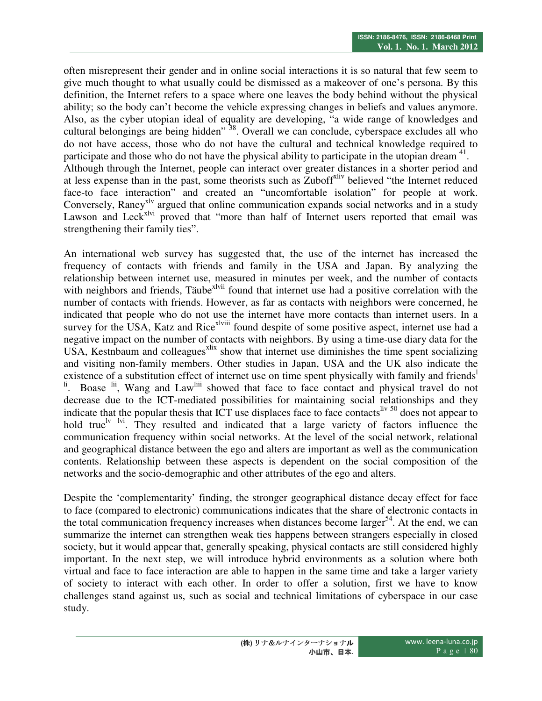often misrepresent their gender and in online social interactions it is so natural that few seem to give much thought to what usually could be dismissed as a makeover of one's persona. By this definition, the Internet refers to a space where one leaves the body behind without the physical ability; so the body can't become the vehicle expressing changes in beliefs and values anymore. Also, as the cyber utopian ideal of equality are developing, "a wide range of knowledges and cultural belongings are being hidden" <sup>38</sup>. Overall we can conclude, cyberspace excludes all who do not have access, those who do not have the cultural and technical knowledge required to participate and those who do not have the physical ability to participate in the utopian dream <sup>41</sup>. Although through the Internet, people can interact over greater distances in a shorter period and at less expense than in the past, some theorists such as Zuboff<sup>xliv</sup> believed "the Internet reduced" face-to face interaction" and created an "uncomfortable isolation" for people at work. Conversely, Raney<sup>xlv</sup> argued that online communication expands social networks and in a study Lawson and Leck<sup>xlvi</sup> proved that "more than half of Internet users reported that email was strengthening their family ties".

An international web survey has suggested that, the use of the internet has increased the frequency of contacts with friends and family in the USA and Japan. By analyzing the relationship between internet use, measured in minutes per week, and the number of contacts with neighbors and friends, Täube<sup>xlvii</sup> found that internet use had a positive correlation with the number of contacts with friends. However, as far as contacts with neighbors were concerned, he indicated that people who do not use the internet have more contacts than internet users. In a survey for the USA, Katz and Rice<sup>xlviii</sup> found despite of some positive aspect, internet use had a negative impact on the number of contacts with neighbors. By using a time-use diary data for the USA, Kestnbaum and colleagues $x$ lix show that internet use diminishes the time spent socializing and visiting non-family members. Other studies in Japan, USA and the UK also indicate the existence of a substitution effect of internet use on time spent physically with family and friends<sup>1</sup> Boase <sup>lii</sup>, Wang and Law<sup>liii</sup> showed that face to face contact and physical travel do not decrease due to the ICT-mediated possibilities for maintaining social relationships and they indicate that the popular thesis that ICT use displaces face to face contacts  $\frac{1}{100}$  does not appear to hold true  $\frac{dv}{dx}$  lvi. They resulted and indicated that a large variety of factors influence the communication frequency within social networks. At the level of the social network, relational and geographical distance between the ego and alters are important as well as the communication contents. Relationship between these aspects is dependent on the social composition of the networks and the socio-demographic and other attributes of the ego and alters.

Despite the 'complementarity' finding, the stronger geographical distance decay effect for face to face (compared to electronic) communications indicates that the share of electronic contacts in the total communication frequency increases when distances become larger<sup>54</sup>. At the end, we can summarize the internet can strengthen weak ties happens between strangers especially in closed society, but it would appear that, generally speaking, physical contacts are still considered highly important. In the next step, we will introduce hybrid environments as a solution where both virtual and face to face interaction are able to happen in the same time and take a larger variety of society to interact with each other. In order to offer a solution, first we have to know challenges stand against us, such as social and technical limitations of cyberspace in our case study.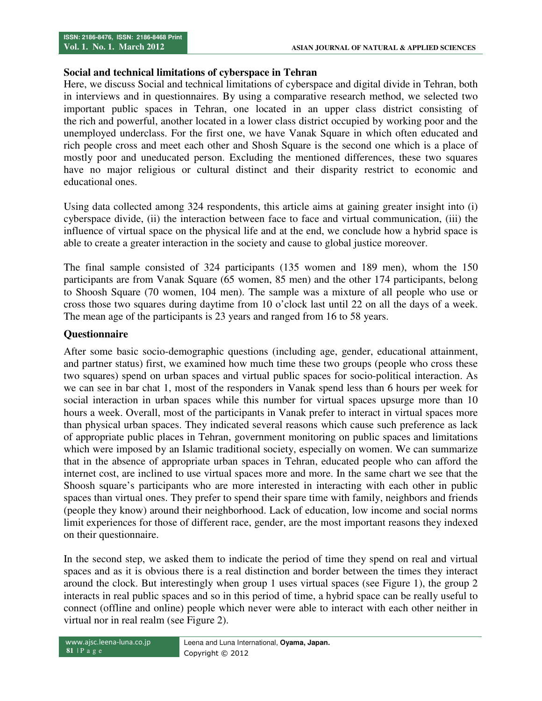## **Social and technical limitations of cyberspace in Tehran**

Here, we discuss Social and technical limitations of cyberspace and digital divide in Tehran, both in interviews and in questionnaires. By using a comparative research method, we selected two important public spaces in Tehran, one located in an upper class district consisting of the rich and powerful, another located in a lower class district occupied by working poor and the unemployed underclass. For the first one, we have Vanak Square in which often educated and rich people cross and meet each other and Shosh Square is the second one which is a place of mostly poor and uneducated person. Excluding the mentioned differences, these two squares have no major religious or cultural distinct and their disparity restrict to economic and educational ones.

Using data collected among 324 respondents, this article aims at gaining greater insight into (i) cyberspace divide, (ii) the interaction between face to face and virtual communication, (iii) the influence of virtual space on the physical life and at the end, we conclude how a hybrid space is able to create a greater interaction in the society and cause to global justice moreover.

The final sample consisted of 324 participants (135 women and 189 men), whom the 150 participants are from Vanak Square (65 women, 85 men) and the other 174 participants, belong to Shoosh Square (70 women, 104 men). The sample was a mixture of all people who use or cross those two squares during daytime from 10 o'clock last until 22 on all the days of a week. The mean age of the participants is 23 years and ranged from 16 to 58 years.

## **Questionnaire**

After some basic socio-demographic questions (including age, gender, educational attainment, and partner status) first, we examined how much time these two groups (people who cross these two squares) spend on urban spaces and virtual public spaces for socio-political interaction. As we can see in bar chat 1, most of the responders in Vanak spend less than 6 hours per week for social interaction in urban spaces while this number for virtual spaces upsurge more than 10 hours a week. Overall, most of the participants in Vanak prefer to interact in virtual spaces more than physical urban spaces. They indicated several reasons which cause such preference as lack of appropriate public places in Tehran, government monitoring on public spaces and limitations which were imposed by an Islamic traditional society, especially on women. We can summarize that in the absence of appropriate urban spaces in Tehran, educated people who can afford the internet cost, are inclined to use virtual spaces more and more. In the same chart we see that the Shoosh square's participants who are more interested in interacting with each other in public spaces than virtual ones. They prefer to spend their spare time with family, neighbors and friends (people they know) around their neighborhood. Lack of education, low income and social norms limit experiences for those of different race, gender, are the most important reasons they indexed on their questionnaire.

In the second step, we asked them to indicate the period of time they spend on real and virtual spaces and as it is obvious there is a real distinction and border between the times they interact around the clock. But interestingly when group 1 uses virtual spaces (see Figure 1), the group 2 interacts in real public spaces and so in this period of time, a hybrid space can be really useful to connect (offline and online) people which never were able to interact with each other neither in virtual nor in real realm (see Figure 2).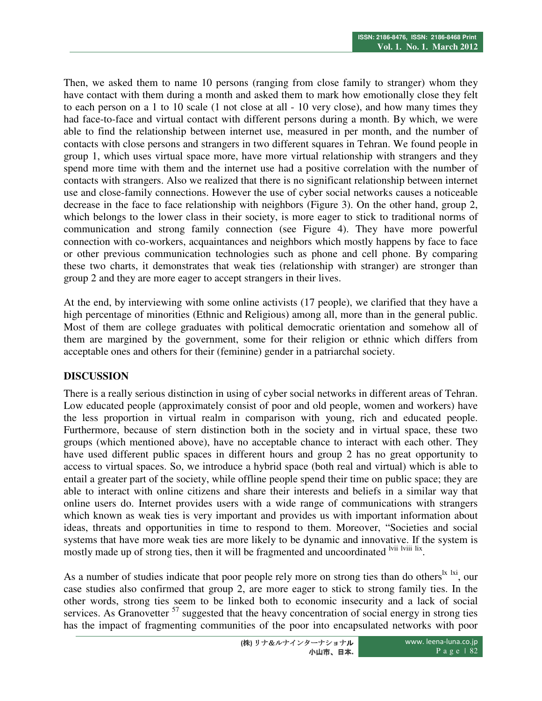Then, we asked them to name 10 persons (ranging from close family to stranger) whom they have contact with them during a month and asked them to mark how emotionally close they felt to each person on a 1 to 10 scale (1 not close at all - 10 very close), and how many times they had face-to-face and virtual contact with different persons during a month. By which, we were able to find the relationship between internet use, measured in per month, and the number of contacts with close persons and strangers in two different squares in Tehran. We found people in group 1, which uses virtual space more, have more virtual relationship with strangers and they spend more time with them and the internet use had a positive correlation with the number of contacts with strangers. Also we realized that there is no significant relationship between internet use and close-family connections. However the use of cyber social networks causes a noticeable decrease in the face to face relationship with neighbors (Figure 3). On the other hand, group 2, which belongs to the lower class in their society, is more eager to stick to traditional norms of communication and strong family connection (see Figure 4). They have more powerful connection with co-workers, acquaintances and neighbors which mostly happens by face to face or other previous communication technologies such as phone and cell phone. By comparing these two charts, it demonstrates that weak ties (relationship with stranger) are stronger than group 2 and they are more eager to accept strangers in their lives.

At the end, by interviewing with some online activists (17 people), we clarified that they have a high percentage of minorities (Ethnic and Religious) among all, more than in the general public. Most of them are college graduates with political democratic orientation and somehow all of them are margined by the government, some for their religion or ethnic which differs from acceptable ones and others for their (feminine) gender in a patriarchal society.

# **DISCUSSION**

There is a really serious distinction in using of cyber social networks in different areas of Tehran. Low educated people (approximately consist of poor and old people, women and workers) have the less proportion in virtual realm in comparison with young, rich and educated people. Furthermore, because of stern distinction both in the society and in virtual space, these two groups (which mentioned above), have no acceptable chance to interact with each other. They have used different public spaces in different hours and group 2 has no great opportunity to access to virtual spaces. So, we introduce a hybrid space (both real and virtual) which is able to entail a greater part of the society, while offline people spend their time on public space; they are able to interact with online citizens and share their interests and beliefs in a similar way that online users do. Internet provides users with a wide range of communications with strangers which known as weak ties is very important and provides us with important information about ideas, threats and opportunities in time to respond to them. Moreover, "Societies and social systems that have more weak ties are more likely to be dynamic and innovative. If the system is mostly made up of strong ties, then it will be fragmented and uncoordinated <sup>lvii lviii lix</sup>.

As a number of studies indicate that poor people rely more on strong ties than do others<sup> $\vert x \vert$ lxi, our</sup> case studies also confirmed that group 2, are more eager to stick to strong family ties. In the other words, strong ties seem to be linked both to economic insecurity and a lack of social services. As Granovetter<sup>57</sup> suggested that the heavy concentration of social energy in strong ties has the impact of fragmenting communities of the poor into encapsulated networks with poor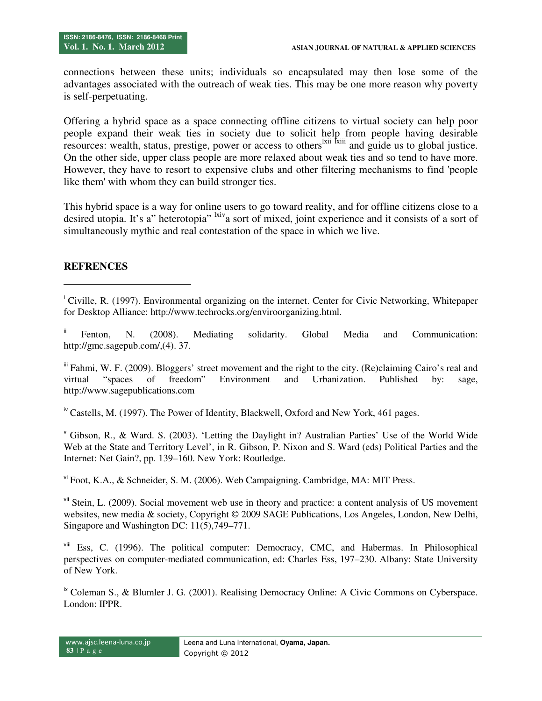connections between these units; individuals so encapsulated may then lose some of the advantages associated with the outreach of weak ties. This may be one more reason why poverty is self-perpetuating.

Offering a hybrid space as a space connecting offline citizens to virtual society can help poor people expand their weak ties in society due to solicit help from people having desirable resources: wealth, status, prestige, power or access to others<sup>lxii fxiii</sup> and guide us to global justice. On the other side, upper class people are more relaxed about weak ties and so tend to have more. However, they have to resort to expensive clubs and other filtering mechanisms to find 'people like them' with whom they can build stronger ties.

This hybrid space is a way for online users to go toward reality, and for offline citizens close to a desired utopia. It's a" heterotopia" lxiva sort of mixed, joint experience and it consists of a sort of simultaneously mythic and real contestation of the space in which we live.

## **REFRENCES**

<u>.</u>

<sup>i</sup> Civille, R. (1997). Environmental organizing on the internet. Center for Civic Networking, Whitepaper for Desktop Alliance: http://www.techrocks.org/enviroorganizing.html.

Fenton, N. (2008). Mediating solidarity. Global Media and Communication: http://gmc.sagepub.com/,(4). 37.

iii Fahmi, W. F. (2009). Bloggers' street movement and the right to the city. (Re)claiming Cairo's real and virtual "spaces of freedom" Environment and Urbanization. Published by: sage, http://www.sagepublications.com

<sup>iv</sup> Castells, M. (1997). The Power of Identity, Blackwell, Oxford and New York, 461 pages.

<sup>v</sup> Gibson, R., & Ward. S. (2003). 'Letting the Daylight in? Australian Parties' Use of the World Wide Web at the State and Territory Level', in R. Gibson, P. Nixon and S. Ward (eds) Political Parties and the Internet: Net Gain?, pp. 139–160. New York: Routledge.

vi Foot, K.A., & Schneider, S. M. (2006). Web Campaigning. Cambridge, MA: MIT Press.

vii Stein, L. (2009). Social movement web use in theory and practice: a content analysis of US movement websites, new media & society, Copyright © 2009 SAGE Publications, Los Angeles, London, New Delhi, Singapore and Washington DC: 11(5),749–771.

viii Ess, C. (1996). The political computer: Democracy, CMC, and Habermas. In Philosophical perspectives on computer-mediated communication, ed: Charles Ess, 197–230. Albany: State University of New York.

 $\alpha$ <sup>ix</sup> Coleman S., & Blumler J. G. (2001). Realising Democracy Online: A Civic Commons on Cyberspace. London: IPPR.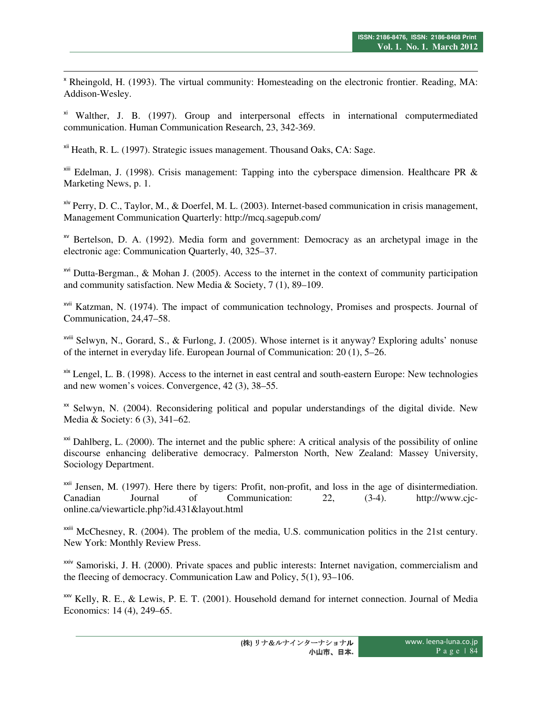<sup>x</sup> Rheingold, H. (1993). The virtual community: Homesteading on the electronic frontier. Reading, MA: Addison-Wesley.

xi Walther, J. B. (1997). Group and interpersonal effects in international computermediated communication. Human Communication Research, 23, 342-369.

xii Heath, R. L. (1997). Strategic issues management. Thousand Oaks, CA: Sage.

<u>.</u>

 $x^{i}$  Edelman, J. (1998). Crisis management: Tapping into the cyberspace dimension. Healthcare PR & Marketing News, p. 1.

xiv Perry, D. C., Taylor, M., & Doerfel, M. L. (2003). Internet-based communication in crisis management, Management Communication Quarterly: http://mcq.sagepub.com/

xv Bertelson, D. A. (1992). Media form and government: Democracy as an archetypal image in the electronic age: Communication Quarterly, 40, 325–37.

xvi Dutta-Bergman., & Mohan J. (2005). Access to the internet in the context of community participation and community satisfaction. New Media & Society, 7 (1), 89–109.

xvii Katzman, N. (1974). The impact of communication technology, Promises and prospects. Journal of Communication, 24,47–58.

xviii Selwyn, N., Gorard, S., & Furlong, J. (2005). Whose internet is it anyway? Exploring adults' nonuse of the internet in everyday life. European Journal of Communication: 20 (1), 5–26.

xix Lengel, L. B. (1998). Access to the internet in east central and south-eastern Europe: New technologies and new women's voices. Convergence, 42 (3), 38–55.

 $\alpha$  Selwyn, N. (2004). Reconsidering political and popular understandings of the digital divide. New Media & Society: 6 (3), 341–62.

 $\alpha$ <sup>xxi</sup> Dahlberg, L. (2000). The internet and the public sphere: A critical analysis of the possibility of online discourse enhancing deliberative democracy. Palmerston North, New Zealand: Massey University, Sociology Department.

<sup>xxii</sup> Jensen, M. (1997). Here there by tigers: Profit, non-profit, and loss in the age of disintermediation. Canadian Journal of Communication: 22, (3-4). http://www.cjconline.ca/viewarticle.php?id.431&layout.html

 $x^{\text{axiii}}$  McChesney, R. (2004). The problem of the media, U.S. communication politics in the 21st century. New York: Monthly Review Press.

<sup>xxiv</sup> Samoriski, J. H. (2000). Private spaces and public interests: Internet navigation, commercialism and the fleecing of democracy. Communication Law and Policy, 5(1), 93–106.

xxv Kelly, R. E., & Lewis, P. E. T. (2001). Household demand for internet connection. Journal of Media Economics: 14 (4), 249–65.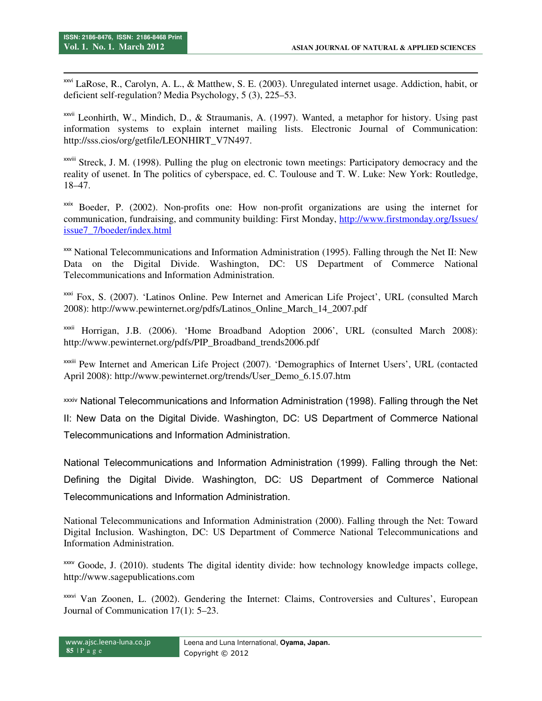-

xxvi LaRose, R., Carolyn, A. L., & Matthew, S. E. (2003). Unregulated internet usage. Addiction, habit, or deficient self-regulation? Media Psychology, 5 (3), 225–53.

xxvii Leonhirth, W., Mindich, D., & Straumanis, A. (1997). Wanted, a metaphor for history. Using past information systems to explain internet mailing lists. Electronic Journal of Communication: http://sss.cios/org/getfile/LEONHIRT\_V7N497.

XXVIII Streck, J. M. (1998). Pulling the plug on electronic town meetings: Participatory democracy and the reality of usenet. In The politics of cyberspace, ed. C. Toulouse and T. W. Luke: New York: Routledge, 18–47.

 $x$ <sup>xxix</sup> Boeder, P. (2002). Non-profits one: How non-profit organizations are using the internet for communication, fundraising, and community building: First Monday, http://www.firstmonday.org/Issues/ issue7\_7/boeder/index.html

xxx National Telecommunications and Information Administration (1995). Falling through the Net II: New Data on the Digital Divide. Washington, DC: US Department of Commerce National Telecommunications and Information Administration.

xxxi Fox, S. (2007). 'Latinos Online. Pew Internet and American Life Project', URL (consulted March 2008): http://www.pewinternet.org/pdfs/Latinos\_Online\_March\_14\_2007.pdf

xxxii Horrigan, J.B. (2006). 'Home Broadband Adoption 2006', URL (consulted March 2008): http://www.pewinternet.org/pdfs/PIP\_Broadband\_trends2006.pdf

xxxiii Pew Internet and American Life Project (2007). 'Demographics of Internet Users', URL (contacted April 2008): http://www.pewinternet.org/trends/User\_Demo\_6.15.07.htm

xxxiv National Telecommunications and Information Administration (1998). Falling through the Net

II: New Data on the Digital Divide. Washington, DC: US Department of Commerce National Telecommunications and Information Administration.

National Telecommunications and Information Administration (1999). Falling through the Net: Defining the Digital Divide. Washington, DC: US Department of Commerce National Telecommunications and Information Administration.

National Telecommunications and Information Administration (2000). Falling through the Net: Toward Digital Inclusion. Washington, DC: US Department of Commerce National Telecommunications and Information Administration.

xxxv Goode, J. (2010). students The digital identity divide: how technology knowledge impacts college, http://www.sagepublications.com

xxxvi Van Zoonen, L. (2002). Gendering the Internet: Claims, Controversies and Cultures'. European Journal of Communication 17(1): 5–23.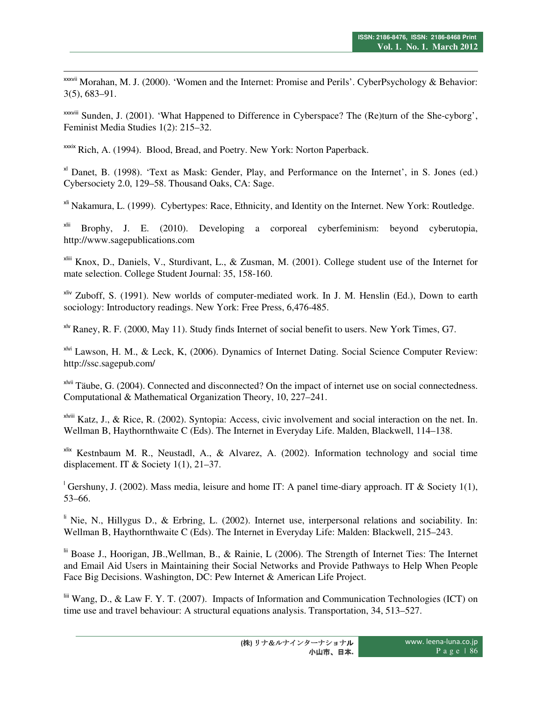$x_{x}$ <sup>xxxvii</sup> Morahan, M. J. (2000). 'Women and the Internet: Promise and Perils'. CyberPsychology & Behavior: 3(5), 683–91.

xxxviii Sunden, J. (2001). 'What Happened to Difference in Cyberspace? The (Re)turn of the She-cyborg', Feminist Media Studies 1(2): 215–32.

xxxix Rich, A. (1994). Blood, Bread, and Poetry. New York: Norton Paperback.

<u>.</u>

xl Danet, B. (1998). 'Text as Mask: Gender, Play, and Performance on the Internet', in S. Jones (ed.) Cybersociety 2.0, 129–58. Thousand Oaks, CA: Sage.

xli Nakamura, L. (1999). Cybertypes: Race, Ethnicity, and Identity on the Internet. New York: Routledge.

 $x^{\text{li}}$  Brophy, J. E. (2010). Developing a corporeal cyberfeminism: beyond cyberutopia, http://www.sagepublications.com

xliii Knox, D., Daniels, V., Sturdivant, L., & Zusman, M. (2001). College student use of the Internet for mate selection. College Student Journal: 35, 158-160.

<sup>xliv</sup> Zuboff, S. (1991). New worlds of computer-mediated work. In J. M. Henslin (Ed.), Down to earth sociology: Introductory readings. New York: Free Press, 6,476-485.

 $x^{1/2}$  Raney, R. F. (2000, May 11). Study finds Internet of social benefit to users. New York Times, G7.

xlvi Lawson, H. M., & Leck, K, (2006). Dynamics of Internet Dating. Social Science Computer Review: http://ssc.sagepub.com/

 $x$ <sup>lvii</sup> Täube, G. (2004). Connected and disconnected? On the impact of internet use on social connectedness. Computational & Mathematical Organization Theory, 10, 227–241.

xlviii Katz, J., & Rice, R. (2002). Syntopia: Access, civic involvement and social interaction on the net. In. Wellman B, Haythornthwaite C (Eds). The Internet in Everyday Life. Malden, Blackwell, 114–138.

 $x$ lix Kestnbaum M. R., Neustadl, A., & Alvarez, A. (2002). Information technology and social time displacement. IT & Society 1(1), 21–37.

<sup>1</sup> Gershuny, J. (2002). Mass media, leisure and home IT: A panel time-diary approach. IT & Society 1(1), 53–66.

 $\parallel$  Nie, N., Hillygus D., & Erbring, L. (2002). Internet use, interpersonal relations and sociability. In: Wellman B, Haythornthwaite C (Eds). The Internet in Everyday Life: Malden: Blackwell, 215–243.

lii Boase J., Hoorigan, JB.,Wellman, B., & Rainie, L (2006). The Strength of Internet Ties: The Internet and Email Aid Users in Maintaining their Social Networks and Provide Pathways to Help When People Face Big Decisions. Washington, DC: Pew Internet & American Life Project.

liii Wang, D., & Law F. Y. T. (2007). Impacts of Information and Communication Technologies (ICT) on time use and travel behaviour: A structural equations analysis. Transportation, 34, 513–527.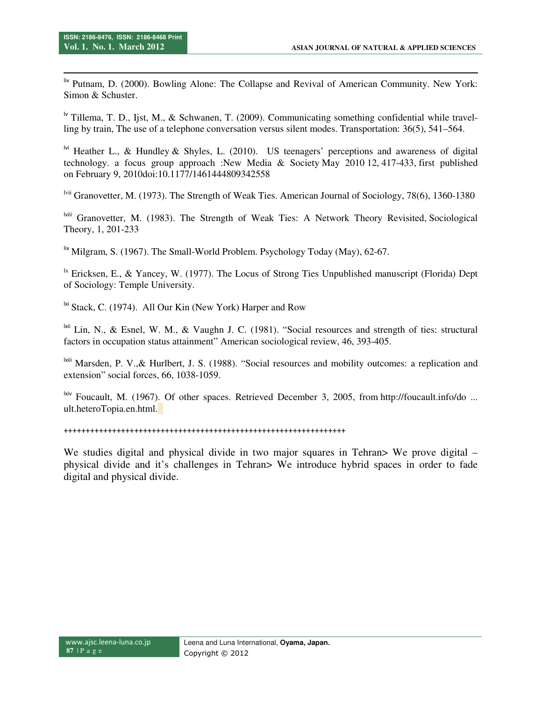-

liv Putnam, D. (2000). Bowling Alone: The Collapse and Revival of American Community. New York: Simon & Schuster.

<sup>1v</sup> Tillema, T. D., Ijst, M., & Schwanen, T. (2009). Communicating something confidential while travelling by train, The use of a telephone conversation versus silent modes. Transportation: 36(5), 541–564.

<sup>lvi</sup> Heather L., & Hundley & Shyles, L. (2010). US teenagers' perceptions and awareness of digital technology. a focus group approach :New Media & Society May 2010 12, 417-433, first published on February 9, 2010doi:10.1177/1461444809342558

lvii Granovetter, M. (1973). The Strength of Weak Ties. American Journal of Sociology, 78(6), 1360-1380

lviii Granovetter, M. (1983). The Strength of Weak Ties: A Network Theory Revisited, Sociological Theory, 1, 201-233

 $\frac{1}{x}$  Milgram, S. (1967). The Small-World Problem. Psychology Today (May), 62-67.

<sup>1x</sup> Ericksen, E., & Yancey, W. (1977). The Locus of Strong Ties Unpublished manuscript (Florida) Dept of Sociology: Temple University.

 $\frac{1}{N}$  Stack, C. (1974). All Our Kin (New York) Harper and Row

lxii Lin, N., & Esnel, W. M., & Vaughn J. C. (1981). "Social resources and strength of ties: structural factors in occupation status attainment" American sociological review, 46, 393-405.

lxiii Marsden, P. V.,& Hurlbert, J. S. (1988). "Social resources and mobility outcomes: a replication and extension" social forces, 66, 1038-1059.

<sup>lxiv</sup> Foucault, M. (1967). Of other spaces. Retrieved December 3, 2005, from http://foucault.info/do ... ult.heteroTopia.en.html.

++++++++++++++++++++++++++++++++++++++++++++++++++++++++++++++++

We studies digital and physical divide in two major squares in Tehran> We prove digital – physical divide and it's challenges in Tehran> We introduce hybrid spaces in order to fade digital and physical divide.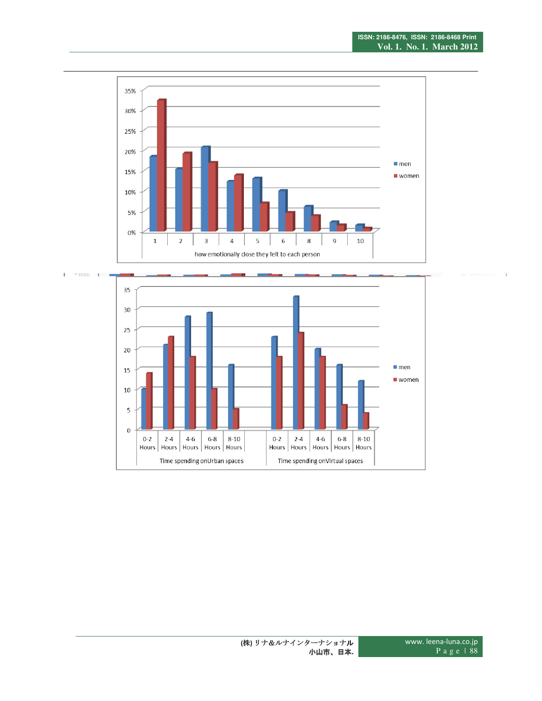

<u>.</u>